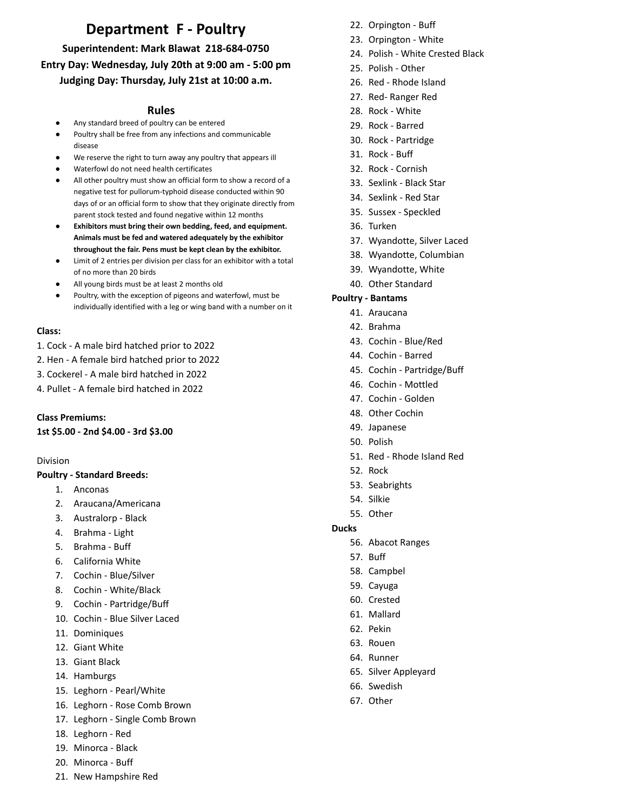# **Department F - Poultry**

**Superintendent: Mark Blawat 218-684-0750 Entry Day: Wednesday, July 20th at 9:00 am - 5:00 pm Judging Day: Thursday, July 21st at 10:00 a.m.**

# **Rules**

- Any standard breed of poultry can be entered
- Poultry shall be free from any infections and communicable disease
- We reserve the right to turn away any poultry that appears ill
- Waterfowl do not need health certificates
- All other poultry must show an official form to show a record of a negative test for pullorum-typhoid disease conducted within 90 days of or an official form to show that they originate directly from parent stock tested and found negative within 12 months
- **Exhibitors must bring their own bedding, feed, and equipment. Animals must be fed and watered adequately by the exhibitor throughout the fair. Pens must be kept clean by the exhibitor.**
- Limit of 2 entries per division per class for an exhibitor with a total of no more than 20 birds
- All young birds must be at least 2 months old
- Poultry, with the exception of pigeons and waterfowl, must be individually identified with a leg or wing band with a number on it

#### **Class:**

- 1. Cock A male bird hatched prior to 2022
- 2. Hen A female bird hatched prior to 2022
- 3. Cockerel A male bird hatched in 2022
- 4. Pullet A female bird hatched in 2022

### **Class Premiums:**

**1st \$5.00 - 2nd \$4.00 - 3rd \$3.00**

#### Division

#### **Poultry - Standard Breeds:**

- 1. Anconas
- 2. Araucana/Americana
- 3. Australorp Black
- 4. Brahma Light
- 5. Brahma Buff
- 6. California White
- 7. Cochin Blue/Silver
- 8. Cochin White/Black
- 9. Cochin Partridge/Buff
- 10. Cochin Blue Silver Laced
- 11. Dominiques
- 12. Giant White
- 13. Giant Black
- 14. Hamburgs
- 15. Leghorn Pearl/White
- 16. Leghorn Rose Comb Brown
- 17. Leghorn Single Comb Brown
- 18. Leghorn Red
- 19. Minorca Black
- 20. Minorca Buff
- 21. New Hampshire Red
- 22. Orpington Buff
- 23. Orpington White
- 24. Polish White Crested Black
- 25. Polish Other
- 26. Red Rhode Island
- 27. Red- Ranger Red
- 28. Rock White
- 29. Rock Barred
- 30. Rock Partridge
- 31. Rock Buff
- 32. Rock Cornish
- 33. Sexlink Black Star
- 34. Sexlink Red Star
- 35. Sussex Speckled
- 36. Turken
- 37. Wyandotte, Silver Laced
- 38. Wyandotte, Columbian
- 39. Wyandotte, White
- 40. Other Standard

#### **Poultry - Bantams**

- 41. Araucana
- 42. Brahma
- 43. Cochin Blue/Red
- 44. Cochin Barred
- 45. Cochin Partridge/Buff
- 46. Cochin Mottled
- 47. Cochin Golden
- 48. Other Cochin
- 49. Japanese
- 50. Polish
- 51. Red Rhode Island Red
- 52. Rock
- 53. Seabrights
- 54. Silkie
- 55. Other

#### **Ducks**

- 56. Abacot Ranges
- 57. Buff
- 58. Campbel
- 59. Cayuga
- 60. Crested
- 61. Mallard
- 62. Pekin
- 63. Rouen
- 64. Runner
- 65. Silver Appleyard
- 66. Swedish
- 67. Other